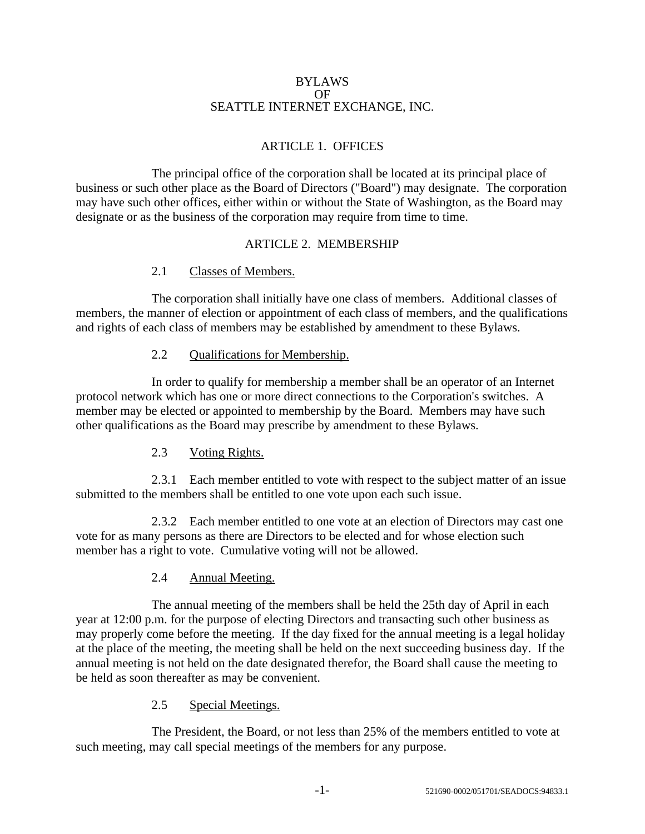#### BYLAWS OF SEATTLE INTERNET EXCHANGE, INC.

# ARTICLE 1. OFFICES

The principal office of the corporation shall be located at its principal place of business or such other place as the Board of Directors ("Board") may designate. The corporation may have such other offices, either within or without the State of Washington, as the Board may designate or as the business of the corporation may require from time to time.

#### ARTICLE 2. MEMBERSHIP

#### 2.1 Classes of Members.

The corporation shall initially have one class of members. Additional classes of members, the manner of election or appointment of each class of members, and the qualifications and rights of each class of members may be established by amendment to these Bylaws.

#### 2.2 Qualifications for Membership.

In order to qualify for membership a member shall be an operator of an Internet protocol network which has one or more direct connections to the Corporation's switches. A member may be elected or appointed to membership by the Board. Members may have such other qualifications as the Board may prescribe by amendment to these Bylaws.

## 2.3 Voting Rights.

2.3.1 Each member entitled to vote with respect to the subject matter of an issue submitted to the members shall be entitled to one vote upon each such issue.

2.3.2 Each member entitled to one vote at an election of Directors may cast one vote for as many persons as there are Directors to be elected and for whose election such member has a right to vote. Cumulative voting will not be allowed.

## 2.4 Annual Meeting.

The annual meeting of the members shall be held the 25th day of April in each year at 12:00 p.m. for the purpose of electing Directors and transacting such other business as may properly come before the meeting. If the day fixed for the annual meeting is a legal holiday at the place of the meeting, the meeting shall be held on the next succeeding business day. If the annual meeting is not held on the date designated therefor, the Board shall cause the meeting to be held as soon thereafter as may be convenient.

## 2.5 Special Meetings.

The President, the Board, or not less than 25% of the members entitled to vote at such meeting, may call special meetings of the members for any purpose.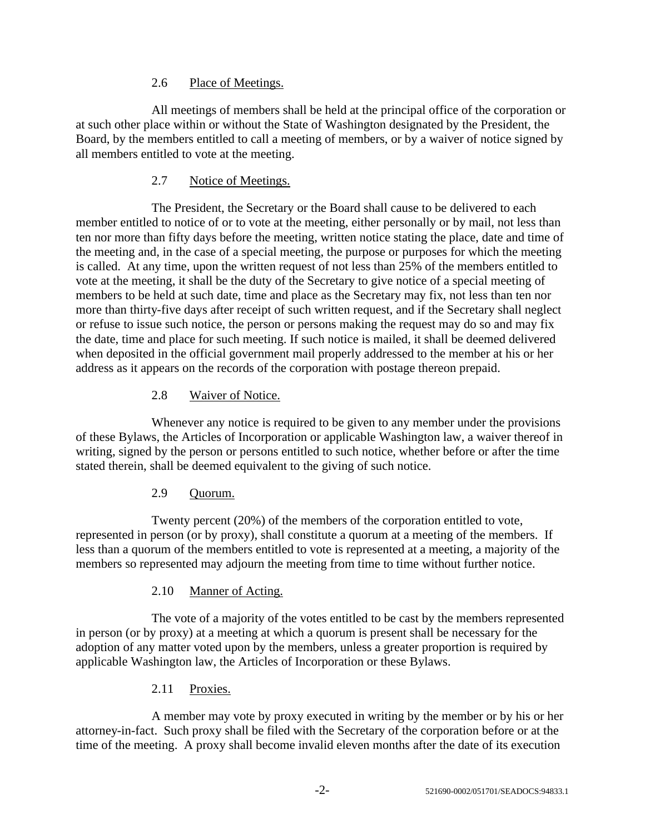### 2.6 Place of Meetings.

All meetings of members shall be held at the principal office of the corporation or at such other place within or without the State of Washington designated by the President, the Board, by the members entitled to call a meeting of members, or by a waiver of notice signed by all members entitled to vote at the meeting.

### 2.7 Notice of Meetings.

The President, the Secretary or the Board shall cause to be delivered to each member entitled to notice of or to vote at the meeting, either personally or by mail, not less than ten nor more than fifty days before the meeting, written notice stating the place, date and time of the meeting and, in the case of a special meeting, the purpose or purposes for which the meeting is called. At any time, upon the written request of not less than 25% of the members entitled to vote at the meeting, it shall be the duty of the Secretary to give notice of a special meeting of members to be held at such date, time and place as the Secretary may fix, not less than ten nor more than thirty-five days after receipt of such written request, and if the Secretary shall neglect or refuse to issue such notice, the person or persons making the request may do so and may fix the date, time and place for such meeting. If such notice is mailed, it shall be deemed delivered when deposited in the official government mail properly addressed to the member at his or her address as it appears on the records of the corporation with postage thereon prepaid.

#### 2.8 Waiver of Notice.

Whenever any notice is required to be given to any member under the provisions of these Bylaws, the Articles of Incorporation or applicable Washington law, a waiver thereof in writing, signed by the person or persons entitled to such notice, whether before or after the time stated therein, shall be deemed equivalent to the giving of such notice.

## 2.9 Quorum.

Twenty percent (20%) of the members of the corporation entitled to vote, represented in person (or by proxy), shall constitute a quorum at a meeting of the members. If less than a quorum of the members entitled to vote is represented at a meeting, a majority of the members so represented may adjourn the meeting from time to time without further notice.

#### 2.10 Manner of Acting.

The vote of a majority of the votes entitled to be cast by the members represented in person (or by proxy) at a meeting at which a quorum is present shall be necessary for the adoption of any matter voted upon by the members, unless a greater proportion is required by applicable Washington law, the Articles of Incorporation or these Bylaws.

## 2.11 Proxies.

A member may vote by proxy executed in writing by the member or by his or her attorney-in-fact. Such proxy shall be filed with the Secretary of the corporation before or at the time of the meeting. A proxy shall become invalid eleven months after the date of its execution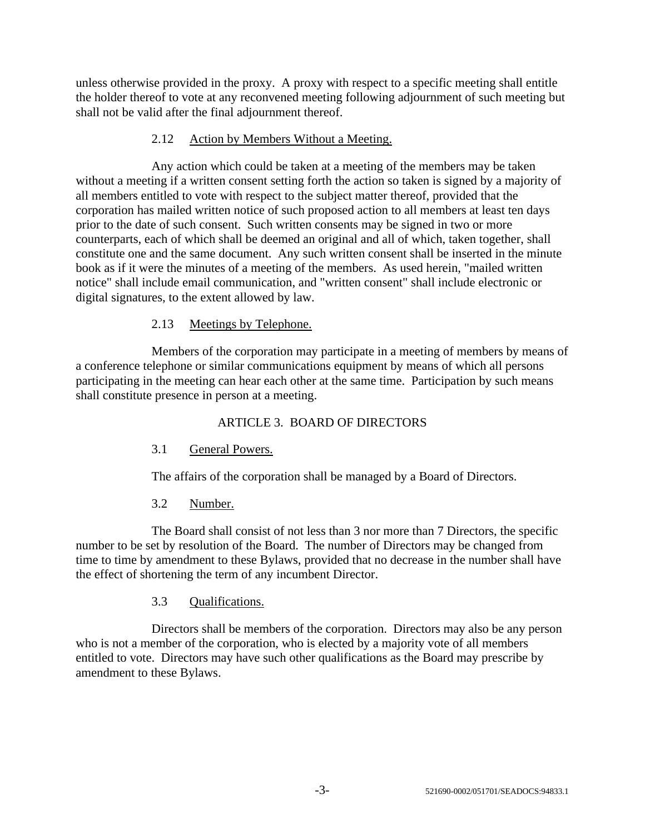unless otherwise provided in the proxy. A proxy with respect to a specific meeting shall entitle the holder thereof to vote at any reconvened meeting following adjournment of such meeting but shall not be valid after the final adjournment thereof.

### 2.12 Action by Members Without a Meeting.

Any action which could be taken at a meeting of the members may be taken without a meeting if a written consent setting forth the action so taken is signed by a majority of all members entitled to vote with respect to the subject matter thereof, provided that the corporation has mailed written notice of such proposed action to all members at least ten days prior to the date of such consent. Such written consents may be signed in two or more counterparts, each of which shall be deemed an original and all of which, taken together, shall constitute one and the same document. Any such written consent shall be inserted in the minute book as if it were the minutes of a meeting of the members. As used herein, "mailed written notice" shall include email communication, and "written consent" shall include electronic or digital signatures, to the extent allowed by law.

#### 2.13 Meetings by Telephone.

Members of the corporation may participate in a meeting of members by means of a conference telephone or similar communications equipment by means of which all persons participating in the meeting can hear each other at the same time. Participation by such means shall constitute presence in person at a meeting.

# ARTICLE 3. BOARD OF DIRECTORS

## 3.1 General Powers.

The affairs of the corporation shall be managed by a Board of Directors.

## 3.2 Number.

The Board shall consist of not less than 3 nor more than 7 Directors, the specific number to be set by resolution of the Board. The number of Directors may be changed from time to time by amendment to these Bylaws, provided that no decrease in the number shall have the effect of shortening the term of any incumbent Director.

#### 3.3 Qualifications.

Directors shall be members of the corporation. Directors may also be any person who is not a member of the corporation, who is elected by a majority vote of all members entitled to vote. Directors may have such other qualifications as the Board may prescribe by amendment to these Bylaws.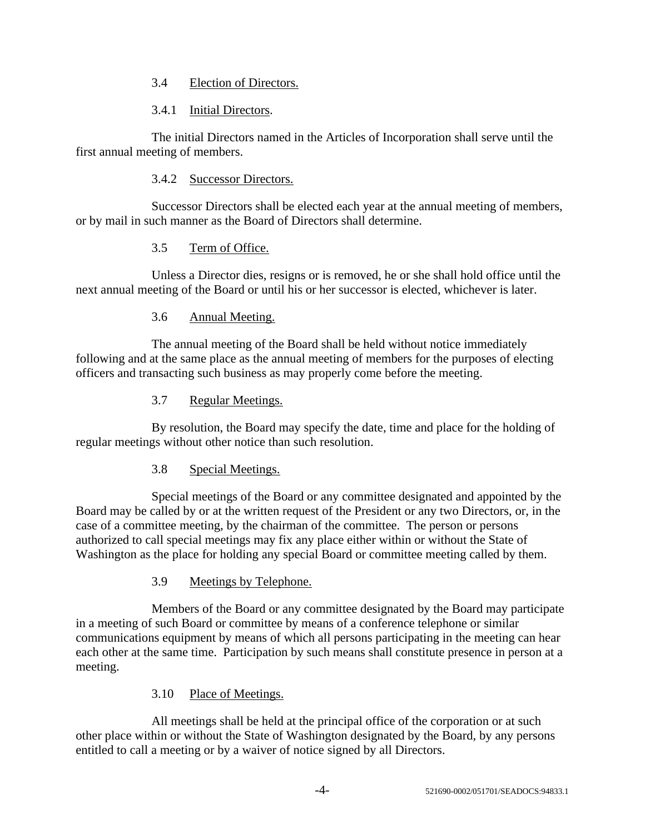#### 3.4 Election of Directors.

#### 3.4.1 Initial Directors.

The initial Directors named in the Articles of Incorporation shall serve until the first annual meeting of members.

## 3.4.2 Successor Directors.

Successor Directors shall be elected each year at the annual meeting of members, or by mail in such manner as the Board of Directors shall determine.

## 3.5 Term of Office.

Unless a Director dies, resigns or is removed, he or she shall hold office until the next annual meeting of the Board or until his or her successor is elected, whichever is later.

# 3.6 Annual Meeting.

The annual meeting of the Board shall be held without notice immediately following and at the same place as the annual meeting of members for the purposes of electing officers and transacting such business as may properly come before the meeting.

## 3.7 Regular Meetings.

By resolution, the Board may specify the date, time and place for the holding of regular meetings without other notice than such resolution.

## 3.8 Special Meetings.

Special meetings of the Board or any committee designated and appointed by the Board may be called by or at the written request of the President or any two Directors, or, in the case of a committee meeting, by the chairman of the committee. The person or persons authorized to call special meetings may fix any place either within or without the State of Washington as the place for holding any special Board or committee meeting called by them.

## 3.9 Meetings by Telephone.

Members of the Board or any committee designated by the Board may participate in a meeting of such Board or committee by means of a conference telephone or similar communications equipment by means of which all persons participating in the meeting can hear each other at the same time. Participation by such means shall constitute presence in person at a meeting.

## 3.10 Place of Meetings.

All meetings shall be held at the principal office of the corporation or at such other place within or without the State of Washington designated by the Board, by any persons entitled to call a meeting or by a waiver of notice signed by all Directors.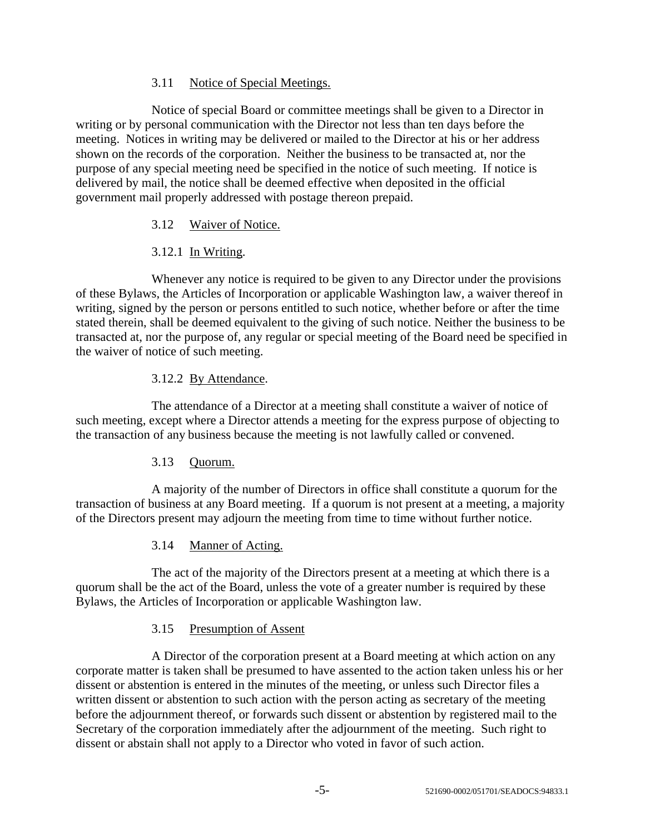### 3.11 Notice of Special Meetings.

Notice of special Board or committee meetings shall be given to a Director in writing or by personal communication with the Director not less than ten days before the meeting. Notices in writing may be delivered or mailed to the Director at his or her address shown on the records of the corporation. Neither the business to be transacted at, nor the purpose of any special meeting need be specified in the notice of such meeting. If notice is delivered by mail, the notice shall be deemed effective when deposited in the official government mail properly addressed with postage thereon prepaid.

#### 3.12 Waiver of Notice.

# 3.12.1 In Writing.

Whenever any notice is required to be given to any Director under the provisions of these Bylaws, the Articles of Incorporation or applicable Washington law, a waiver thereof in writing, signed by the person or persons entitled to such notice, whether before or after the time stated therein, shall be deemed equivalent to the giving of such notice. Neither the business to be transacted at, nor the purpose of, any regular or special meeting of the Board need be specified in the waiver of notice of such meeting.

#### 3.12.2 By Attendance.

The attendance of a Director at a meeting shall constitute a waiver of notice of such meeting, except where a Director attends a meeting for the express purpose of objecting to the transaction of any business because the meeting is not lawfully called or convened.

## 3.13 Quorum.

A majority of the number of Directors in office shall constitute a quorum for the transaction of business at any Board meeting. If a quorum is not present at a meeting, a majority of the Directors present may adjourn the meeting from time to time without further notice.

#### 3.14 Manner of Acting.

The act of the majority of the Directors present at a meeting at which there is a quorum shall be the act of the Board, unless the vote of a greater number is required by these Bylaws, the Articles of Incorporation or applicable Washington law.

#### 3.15 Presumption of Assent

A Director of the corporation present at a Board meeting at which action on any corporate matter is taken shall be presumed to have assented to the action taken unless his or her dissent or abstention is entered in the minutes of the meeting, or unless such Director files a written dissent or abstention to such action with the person acting as secretary of the meeting before the adjournment thereof, or forwards such dissent or abstention by registered mail to the Secretary of the corporation immediately after the adjournment of the meeting. Such right to dissent or abstain shall not apply to a Director who voted in favor of such action.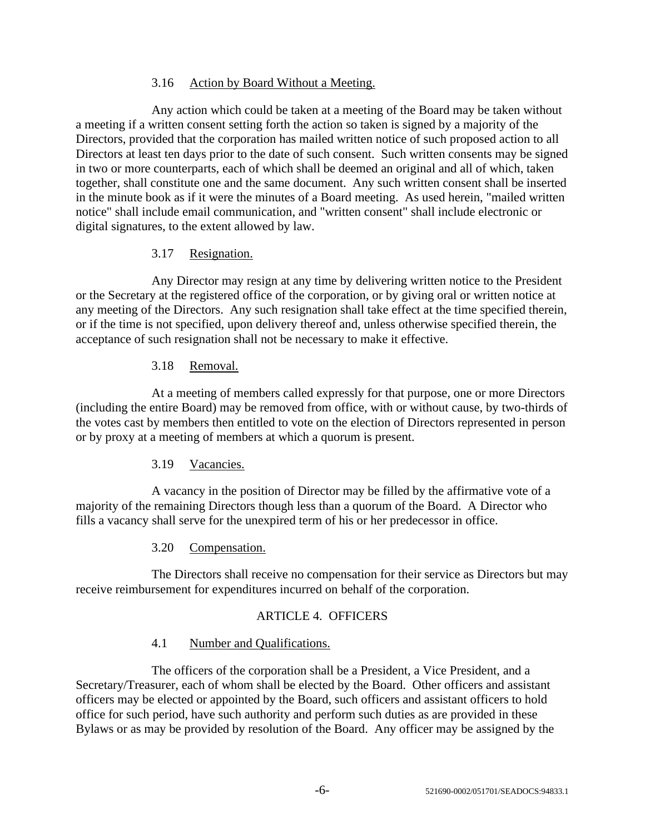#### 3.16 Action by Board Without a Meeting.

Any action which could be taken at a meeting of the Board may be taken without a meeting if a written consent setting forth the action so taken is signed by a majority of the Directors, provided that the corporation has mailed written notice of such proposed action to all Directors at least ten days prior to the date of such consent. Such written consents may be signed in two or more counterparts, each of which shall be deemed an original and all of which, taken together, shall constitute one and the same document. Any such written consent shall be inserted in the minute book as if it were the minutes of a Board meeting. As used herein, "mailed written notice" shall include email communication, and "written consent" shall include electronic or digital signatures, to the extent allowed by law.

## 3.17 Resignation.

Any Director may resign at any time by delivering written notice to the President or the Secretary at the registered office of the corporation, or by giving oral or written notice at any meeting of the Directors. Any such resignation shall take effect at the time specified therein, or if the time is not specified, upon delivery thereof and, unless otherwise specified therein, the acceptance of such resignation shall not be necessary to make it effective.

#### 3.18 Removal.

At a meeting of members called expressly for that purpose, one or more Directors (including the entire Board) may be removed from office, with or without cause, by two-thirds of the votes cast by members then entitled to vote on the election of Directors represented in person or by proxy at a meeting of members at which a quorum is present.

## 3.19 Vacancies.

A vacancy in the position of Director may be filled by the affirmative vote of a majority of the remaining Directors though less than a quorum of the Board. A Director who fills a vacancy shall serve for the unexpired term of his or her predecessor in office.

## 3.20 Compensation.

The Directors shall receive no compensation for their service as Directors but may receive reimbursement for expenditures incurred on behalf of the corporation.

## ARTICLE 4. OFFICERS

#### 4.1 Number and Qualifications.

The officers of the corporation shall be a President, a Vice President, and a Secretary/Treasurer, each of whom shall be elected by the Board. Other officers and assistant officers may be elected or appointed by the Board, such officers and assistant officers to hold office for such period, have such authority and perform such duties as are provided in these Bylaws or as may be provided by resolution of the Board. Any officer may be assigned by the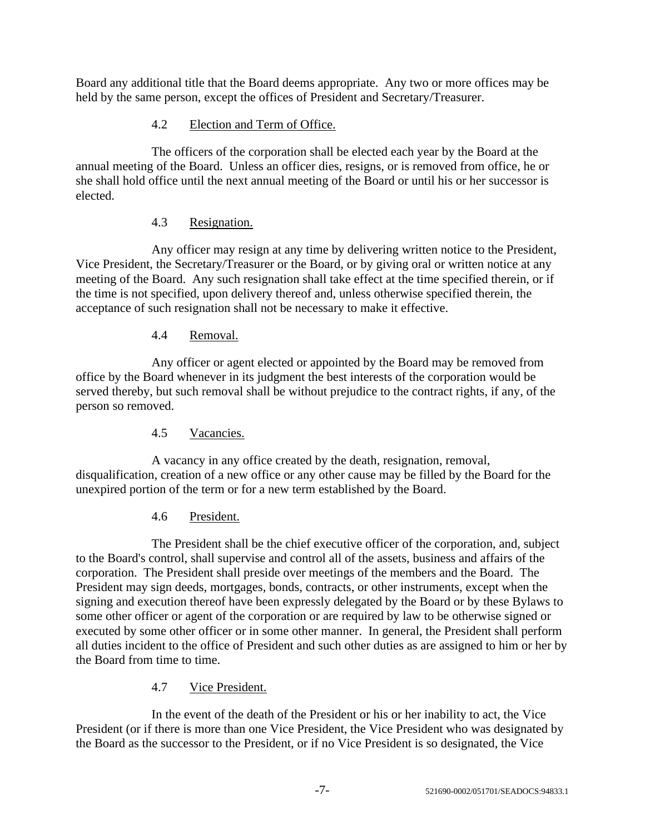Board any additional title that the Board deems appropriate. Any two or more offices may be held by the same person, except the offices of President and Secretary/Treasurer.

# 4.2 Election and Term of Office.

The officers of the corporation shall be elected each year by the Board at the annual meeting of the Board. Unless an officer dies, resigns, or is removed from office, he or she shall hold office until the next annual meeting of the Board or until his or her successor is elected.

## 4.3 Resignation.

Any officer may resign at any time by delivering written notice to the President, Vice President, the Secretary/Treasurer or the Board, or by giving oral or written notice at any meeting of the Board. Any such resignation shall take effect at the time specified therein, or if the time is not specified, upon delivery thereof and, unless otherwise specified therein, the acceptance of such resignation shall not be necessary to make it effective.

# 4.4 Removal.

Any officer or agent elected or appointed by the Board may be removed from office by the Board whenever in its judgment the best interests of the corporation would be served thereby, but such removal shall be without prejudice to the contract rights, if any, of the person so removed.

# 4.5 Vacancies.

A vacancy in any office created by the death, resignation, removal, disqualification, creation of a new office or any other cause may be filled by the Board for the unexpired portion of the term or for a new term established by the Board.

## 4.6 President.

The President shall be the chief executive officer of the corporation, and, subject to the Board's control, shall supervise and control all of the assets, business and affairs of the corporation. The President shall preside over meetings of the members and the Board. The President may sign deeds, mortgages, bonds, contracts, or other instruments, except when the signing and execution thereof have been expressly delegated by the Board or by these Bylaws to some other officer or agent of the corporation or are required by law to be otherwise signed or executed by some other officer or in some other manner. In general, the President shall perform all duties incident to the office of President and such other duties as are assigned to him or her by the Board from time to time.

## 4.7 Vice President.

In the event of the death of the President or his or her inability to act, the Vice President (or if there is more than one Vice President, the Vice President who was designated by the Board as the successor to the President, or if no Vice President is so designated, the Vice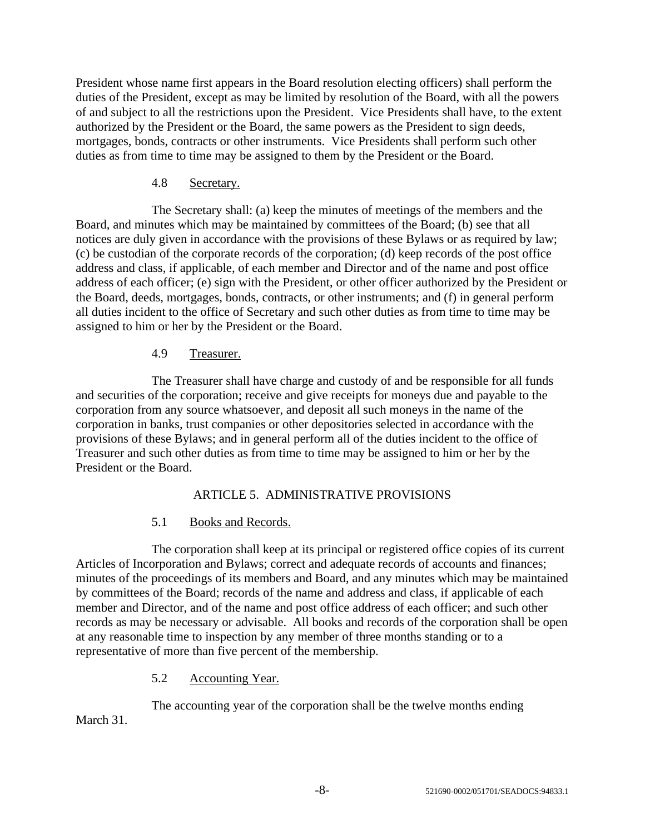President whose name first appears in the Board resolution electing officers) shall perform the duties of the President, except as may be limited by resolution of the Board, with all the powers of and subject to all the restrictions upon the President. Vice Presidents shall have, to the extent authorized by the President or the Board, the same powers as the President to sign deeds, mortgages, bonds, contracts or other instruments. Vice Presidents shall perform such other duties as from time to time may be assigned to them by the President or the Board.

### 4.8 Secretary.

The Secretary shall: (a) keep the minutes of meetings of the members and the Board, and minutes which may be maintained by committees of the Board; (b) see that all notices are duly given in accordance with the provisions of these Bylaws or as required by law; (c) be custodian of the corporate records of the corporation; (d) keep records of the post office address and class, if applicable, of each member and Director and of the name and post office address of each officer; (e) sign with the President, or other officer authorized by the President or the Board, deeds, mortgages, bonds, contracts, or other instruments; and (f) in general perform all duties incident to the office of Secretary and such other duties as from time to time may be assigned to him or her by the President or the Board.

## 4.9 Treasurer.

The Treasurer shall have charge and custody of and be responsible for all funds and securities of the corporation; receive and give receipts for moneys due and payable to the corporation from any source whatsoever, and deposit all such moneys in the name of the corporation in banks, trust companies or other depositories selected in accordance with the provisions of these Bylaws; and in general perform all of the duties incident to the office of Treasurer and such other duties as from time to time may be assigned to him or her by the President or the Board.

## ARTICLE 5. ADMINISTRATIVE PROVISIONS

## 5.1 Books and Records.

The corporation shall keep at its principal or registered office copies of its current Articles of Incorporation and Bylaws; correct and adequate records of accounts and finances; minutes of the proceedings of its members and Board, and any minutes which may be maintained by committees of the Board; records of the name and address and class, if applicable of each member and Director, and of the name and post office address of each officer; and such other records as may be necessary or advisable. All books and records of the corporation shall be open at any reasonable time to inspection by any member of three months standing or to a representative of more than five percent of the membership.

## 5.2 Accounting Year.

The accounting year of the corporation shall be the twelve months ending March 31.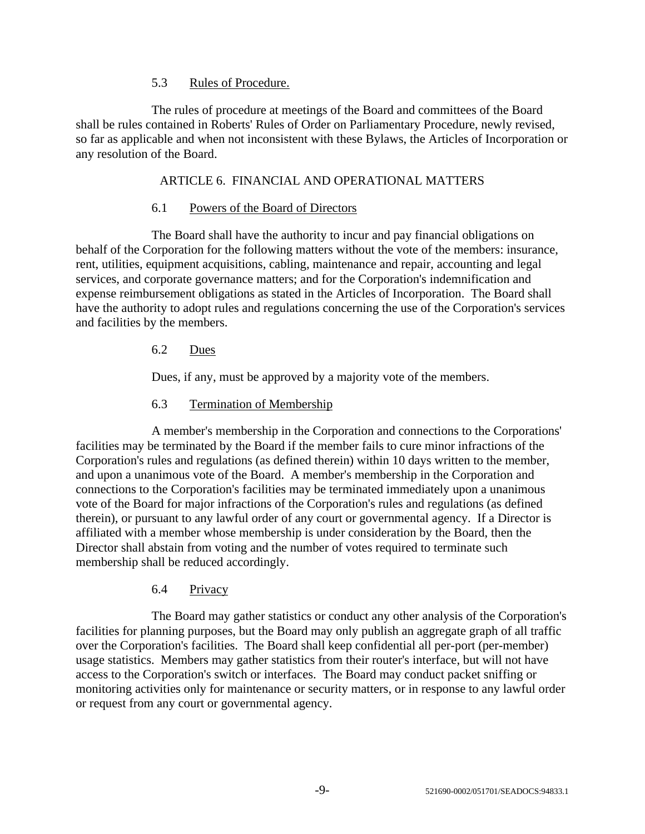#### 5.3 Rules of Procedure.

The rules of procedure at meetings of the Board and committees of the Board shall be rules contained in Roberts' Rules of Order on Parliamentary Procedure, newly revised, so far as applicable and when not inconsistent with these Bylaws, the Articles of Incorporation or any resolution of the Board.

#### ARTICLE 6. FINANCIAL AND OPERATIONAL MATTERS

#### 6.1 Powers of the Board of Directors

The Board shall have the authority to incur and pay financial obligations on behalf of the Corporation for the following matters without the vote of the members: insurance, rent, utilities, equipment acquisitions, cabling, maintenance and repair, accounting and legal services, and corporate governance matters; and for the Corporation's indemnification and expense reimbursement obligations as stated in the Articles of Incorporation. The Board shall have the authority to adopt rules and regulations concerning the use of the Corporation's services and facilities by the members.

#### 6.2 Dues

Dues, if any, must be approved by a majority vote of the members.

#### 6.3 Termination of Membership

A member's membership in the Corporation and connections to the Corporations' facilities may be terminated by the Board if the member fails to cure minor infractions of the Corporation's rules and regulations (as defined therein) within 10 days written to the member, and upon a unanimous vote of the Board. A member's membership in the Corporation and connections to the Corporation's facilities may be terminated immediately upon a unanimous vote of the Board for major infractions of the Corporation's rules and regulations (as defined therein), or pursuant to any lawful order of any court or governmental agency. If a Director is affiliated with a member whose membership is under consideration by the Board, then the Director shall abstain from voting and the number of votes required to terminate such membership shall be reduced accordingly.

## 6.4 Privacy

The Board may gather statistics or conduct any other analysis of the Corporation's facilities for planning purposes, but the Board may only publish an aggregate graph of all traffic over the Corporation's facilities. The Board shall keep confidential all per-port (per-member) usage statistics. Members may gather statistics from their router's interface, but will not have access to the Corporation's switch or interfaces. The Board may conduct packet sniffing or monitoring activities only for maintenance or security matters, or in response to any lawful order or request from any court or governmental agency.